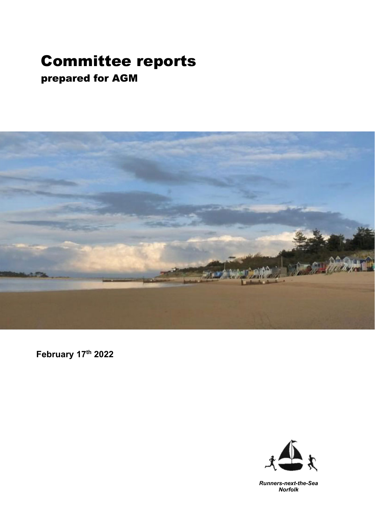### Committee reports prepared for AGM



**February 17th 2022** 



*Runners-next-the-Sea Norfolk*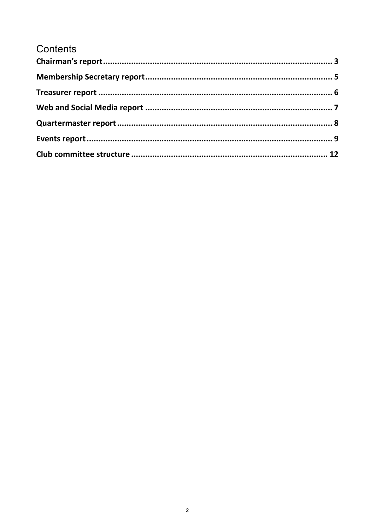### Contents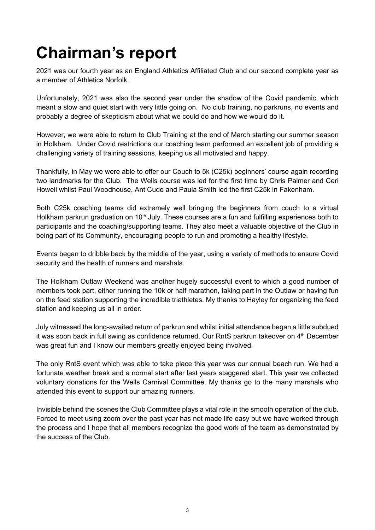## **Chairman's report**

2021 was our fourth year as an England Athletics Affiliated Club and our second complete year as a member of Athletics Norfolk.

Unfortunately, 2021 was also the second year under the shadow of the Covid pandemic, which meant a slow and quiet start with very little going on. No club training, no parkruns, no events and probably a degree of skepticism about what we could do and how we would do it.

However, we were able to return to Club Training at the end of March starting our summer season in Holkham. Under Covid restrictions our coaching team performed an excellent job of providing a challenging variety of training sessions, keeping us all motivated and happy.

Thankfully, in May we were able to offer our Couch to 5k (C25k) beginners' course again recording two landmarks for the Club. The Wells course was led for the first time by Chris Palmer and Ceri Howell whilst Paul Woodhouse, Ant Cude and Paula Smith led the first C25k in Fakenham.

Both C25k coaching teams did extremely well bringing the beginners from couch to a virtual Holkham parkrun graduation on 10<sup>th</sup> July. These courses are a fun and fulfilling experiences both to participants and the coaching/supporting teams. They also meet a valuable objective of the Club in being part of its Community, encouraging people to run and promoting a healthy lifestyle.

Events began to dribble back by the middle of the year, using a variety of methods to ensure Covid security and the health of runners and marshals.

The Holkham Outlaw Weekend was another hugely successful event to which a good number of members took part, either running the 10k or half marathon, taking part in the Outlaw or having fun on the feed station supporting the incredible triathletes. My thanks to Hayley for organizing the feed station and keeping us all in order.

July witnessed the long-awaited return of parkrun and whilst initial attendance began a little subdued it was soon back in full swing as confidence returned. Our RntS parkrun takeover on 4th December was great fun and I know our members greatly enjoyed being involved.

The only RntS event which was able to take place this year was our annual beach run. We had a fortunate weather break and a normal start after last years staggered start. This year we collected voluntary donations for the Wells Carnival Committee. My thanks go to the many marshals who attended this event to support our amazing runners.

Invisible behind the scenes the Club Committee plays a vital role in the smooth operation of the club. Forced to meet using zoom over the past year has not made life easy but we have worked through the process and I hope that all members recognize the good work of the team as demonstrated by the success of the Club.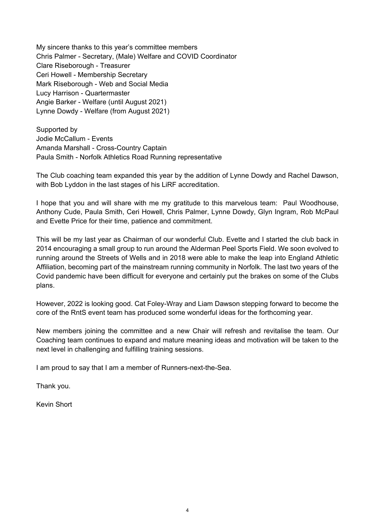My sincere thanks to this year's committee members Chris Palmer - Secretary, (Male) Welfare and COVID Coordinator Clare Riseborough - Treasurer Ceri Howell - Membership Secretary Mark Riseborough - Web and Social Media Lucy Harrison - Quartermaster Angie Barker - Welfare (until August 2021) Lynne Dowdy - Welfare (from August 2021)

Supported by Jodie McCallum - Events Amanda Marshall - Cross-Country Captain Paula Smith - Norfolk Athletics Road Running representative

The Club coaching team expanded this year by the addition of Lynne Dowdy and Rachel Dawson, with Bob Lyddon in the last stages of his LiRF accreditation.

I hope that you and will share with me my gratitude to this marvelous team: Paul Woodhouse, Anthony Cude, Paula Smith, Ceri Howell, Chris Palmer, Lynne Dowdy, Glyn Ingram, Rob McPaul and Evette Price for their time, patience and commitment.

This will be my last year as Chairman of our wonderful Club. Evette and I started the club back in 2014 encouraging a small group to run around the Alderman Peel Sports Field. We soon evolved to running around the Streets of Wells and in 2018 were able to make the leap into England Athletic Affiliation, becoming part of the mainstream running community in Norfolk. The last two years of the Covid pandemic have been difficult for everyone and certainly put the brakes on some of the Clubs plans.

However, 2022 is looking good. Cat Foley-Wray and Liam Dawson stepping forward to become the core of the RntS event team has produced some wonderful ideas for the forthcoming year.

New members joining the committee and a new Chair will refresh and revitalise the team. Our Coaching team continues to expand and mature meaning ideas and motivation will be taken to the next level in challenging and fulfilling training sessions.

I am proud to say that I am a member of Runners-next-the-Sea.

Thank you.

Kevin Short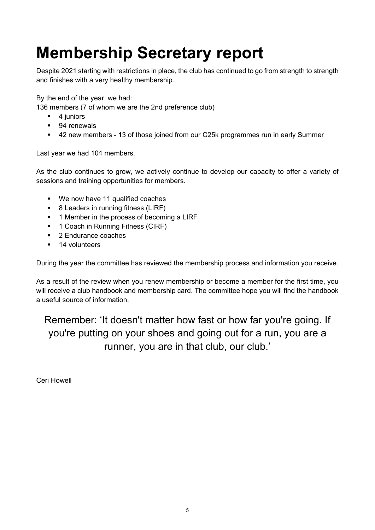### **Membership Secretary report**

Despite 2021 starting with restrictions in place, the club has continued to go from strength to strength and finishes with a very healthy membership.

By the end of the year, we had:

136 members (7 of whom we are the 2nd preference club)

- $-4$  juniors
- 94 renewals
- 42 new members 13 of those joined from our C25k programmes run in early Summer

Last year we had 104 members.

As the club continues to grow, we actively continue to develop our capacity to offer a variety of sessions and training opportunities for members.

- We now have 11 qualified coaches
- 8 Leaders in running fitness (LIRF)
- **1** Member in the process of becoming a LIRF
- <sup>1</sup> 1 Coach in Running Fitness (CIRF)
- **2** Endurance coaches
- **14** volunteers

During the year the committee has reviewed the membership process and information you receive.

As a result of the review when you renew membership or become a member for the first time, you will receive a club handbook and membership card. The committee hope you will find the handbook a useful source of information.

Remember: 'It doesn't matter how fast or how far you're going. If you're putting on your shoes and going out for a run, you are a runner, you are in that club, our club.'

Ceri Howell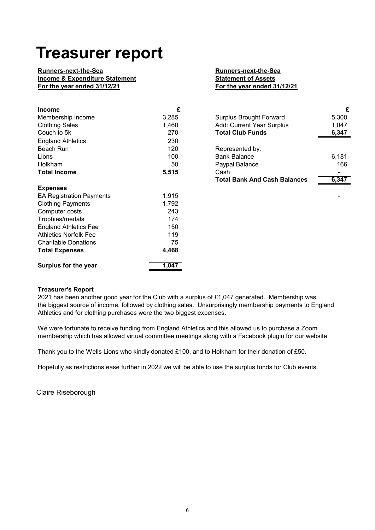### **Treasurer report**

#### **Runners-next-the-Sea**<br> **Runners-next-the-Sea**<br> **Runners-next-the-Sea**<br> **Runners-next-the-Sea**<br> **Runners-next-the-Sea Income & Expenditure Statement**

# **For the year ended 31/12/21 For the year ended 31/12/21**

| <b>Income</b>                   | £     |                                     | £     |
|---------------------------------|-------|-------------------------------------|-------|
| Membership Income               | 3,285 | <b>Surplus Brought Forward</b>      | 5,300 |
| <b>Clothing Sales</b>           | 1,460 | Add: Current Year Surplus           | 1,047 |
| Couch to 5k                     | 270   | <b>Total Club Funds</b>             | 6,347 |
| <b>England Athletics</b>        | 230   |                                     |       |
| Beach Run                       | 120   | Represented by:                     |       |
| Lions                           | 100   | <b>Bank Balance</b>                 | 6,181 |
| Holkham                         | 50    | Paypal Balance                      | 166   |
| <b>Total Income</b>             | 5,515 | Cash                                |       |
|                                 |       | <b>Total Bank And Cash Balances</b> | 6,347 |
| <b>Expenses</b>                 |       |                                     |       |
| <b>EA Registration Payments</b> | 1,915 |                                     |       |
| <b>Clothing Payments</b>        | 1,792 |                                     |       |
| Computer costs                  | 243   |                                     |       |
| Trophies/medals                 | 174   |                                     |       |
| <b>England Athletics Fee</b>    | 150   |                                     |       |
| <b>Athletics Norfolk Fee</b>    | 119   |                                     |       |
| <b>Charitable Donations</b>     | 75    |                                     |       |
| <b>Total Expenses</b>           | 4,468 |                                     |       |
| Surplus for the year            | 1,047 |                                     |       |

| <b>Surplus Brought Forward</b>      | 5,300 |
|-------------------------------------|-------|
| Add: Current Year Surplus           | 1,047 |
| <b>Total Club Funds</b>             | 6,347 |
|                                     |       |
| Represented by:                     |       |
| <b>Bank Balance</b>                 | 6.181 |
| Paypal Balance                      | 166   |
| Cash                                |       |
| <b>Total Bank And Cash Balances</b> |       |

#### **Treasurer's Report**

2021 has been another good year for the Club with a surplus of £1,047 generated. Membership was the biggest source of income, followed by clothing sales. Unsurprisingly membership payments to England Athletics and for clothing purchases were the two biggest expenses.

We were fortunate to receive funding from England Athletics and this allowed us to purchase a Zoom membership which has allowed virtual committee meetings along with a Facebook plugin for our website.

Thank you to the Wells Lions who kindly donated £100, and to Holkham for their donation of £50.

Hopefully as restrictions ease further in 2022 we will be able to use the surplus funds for Club events.

Claire Riseborough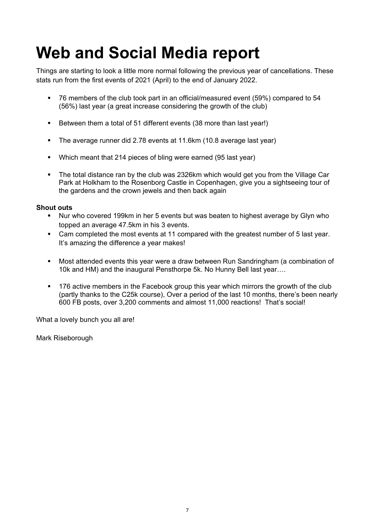### **Web and Social Media report**

Things are starting to look a little more normal following the previous year of cancellations. These stats run from the first events of 2021 (April) to the end of January 2022.

- 76 members of the club took part in an official/measured event (59%) compared to 54 (56%) last year (a great increase considering the growth of the club)
- Between them a total of 51 different events (38 more than last year!)
- **The average runner did 2.78 events at 11.6km (10.8 average last year)**
- Which meant that 214 pieces of bling were earned (95 last year)
- The total distance ran by the club was 2326km which would get you from the Village Car Park at Holkham to the Rosenborg Castle in Copenhagen, give you a sightseeing tour of the gardens and the crown jewels and then back again

#### **Shout outs**

- Nur who covered 199km in her 5 events but was beaten to highest average by Glyn who topped an average 47.5km in his 3 events.
- Cam completed the most events at 11 compared with the greatest number of 5 last year. It's amazing the difference a year makes!
- Most attended events this year were a draw between Run Sandringham (a combination of 10k and HM) and the inaugural Pensthorpe 5k. No Hunny Bell last year….
- 176 active members in the Facebook group this year which mirrors the growth of the club (partly thanks to the C25k course), Over a period of the last 10 months, there's been nearly 600 FB posts, over 3,200 comments and almost 11,000 reactions! That's social!

What a lovely bunch you all are!

Mark Riseborough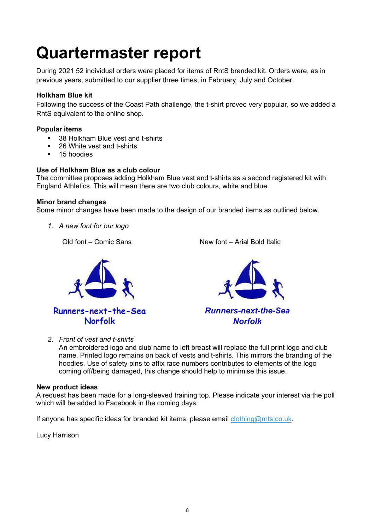### **Quartermaster report**

During 2021 52 individual orders were placed for items of RntS branded kit. Orders were, as in previous years, submitted to our supplier three times, in February, July and October.

#### **Holkham Blue kit**

Following the success of the Coast Path challenge, the t-shirt proved very popular, so we added a RntS equivalent to the online shop.

#### **Popular items**

- 38 Holkham Blue vest and t-shirts
- 26 White vest and t-shirts
- 15 hoodies

#### **Use of Holkham Blue as a club colour**

The committee proposes adding Holkham Blue vest and t-shirts as a second registered kit with England Athletics. This will mean there are two club colours, white and blue.

#### **Minor brand changes**

Some minor changes have been made to the design of our branded items as outlined below.

*1. A new font for our logo* 

Old font – Comic Sans New font – Arial Bold Italic





*2. Front of vest and t-shirts* 

An embroidered logo and club name to left breast will replace the full print logo and club name. Printed logo remains on back of vests and t-shirts. This mirrors the branding of the hoodies. Use of safety pins to affix race numbers contributes to elements of the logo coming off/being damaged, this change should help to minimise this issue.

#### **New product ideas**

A request has been made for a long-sleeved training top. Please indicate your interest via the poll which will be added to Facebook in the coming days.

If anyone has specific ideas for branded kit items, please email  $clothing@rnts.co.uk$ .

Lucy Harrison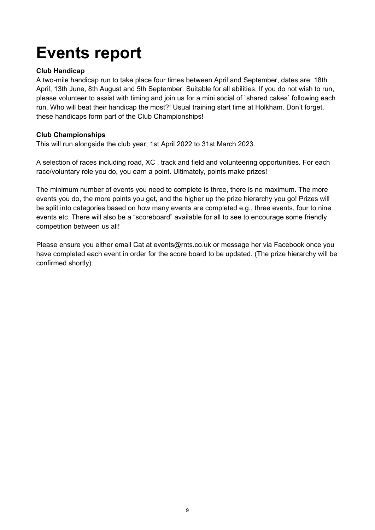### **Events report**

#### **Club Handicap**

A two-mile handicap run to take place four times between April and September, dates are: 18th April, 13th June, 8th August and 5th September. Suitable for all abilities. If you do not wish to run, please volunteer to assist with timing and join us for a mini social of `shared cakes` following each run. Who will beat their handicap the most?! Usual training start time at Holkham. Don't forget, these handicaps form part of the Club Championships!

#### **Club Championships**

This will run alongside the club year, 1st April 2022 to 31st March 2023.

A selection of races including road, XC , track and field and volunteering opportunities. For each race/voluntary role you do, you earn a point. Ultimately, points make prizes!

The minimum number of events you need to complete is three, there is no maximum. The more events you do, the more points you get, and the higher up the prize hierarchy you go! Prizes will be split into categories based on how many events are completed e.g., three events, four to nine events etc. There will also be a "scoreboard" available for all to see to encourage some friendly competition between us all!

Please ensure you either email Cat at events@rnts.co.uk or message her via Facebook once you have completed each event in order for the score board to be updated. (The prize hierarchy will be confirmed shortly).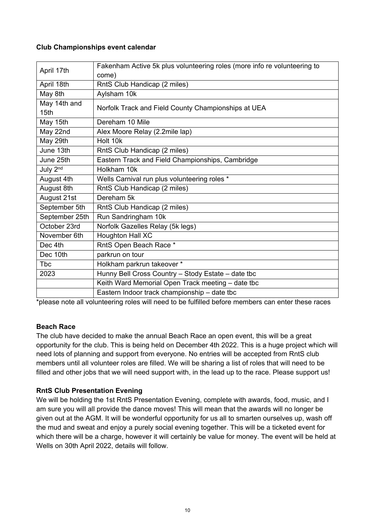#### **Club Championships event calendar**

|                  | Fakenham Active 5k plus volunteering roles (more info re volunteering to |
|------------------|--------------------------------------------------------------------------|
| April 17th       | come)                                                                    |
| April 18th       | RntS Club Handicap (2 miles)                                             |
| May 8th          | Aylsham 10k                                                              |
| May 14th and     | Norfolk Track and Field County Championships at UEA                      |
| 15 <sub>th</sub> |                                                                          |
| May 15th         | Dereham 10 Mile                                                          |
| May 22nd         | Alex Moore Relay (2.2mile lap)                                           |
| May 29th         | Holt 10k                                                                 |
| June 13th        | RntS Club Handicap (2 miles)                                             |
| June 25th        | Eastern Track and Field Championships, Cambridge                         |
| July 2nd         | Holkham 10k                                                              |
| August 4th       | Wells Carnival run plus volunteering roles *                             |
| August 8th       | RntS Club Handicap (2 miles)                                             |
| August 21st      | Dereham 5k                                                               |
| September 5th    | RntS Club Handicap (2 miles)                                             |
| September 25th   | Run Sandringham 10k                                                      |
| October 23rd     | Norfolk Gazelles Relay (5k legs)                                         |
| November 6th     | Houghton Hall XC                                                         |
| Dec 4th          | RntS Open Beach Race *                                                   |
| Dec 10th         | parkrun on tour                                                          |
| <b>T</b> bc      | Holkham parkrun takeover *                                               |
| 2023             | Hunny Bell Cross Country - Stody Estate - date tbc                       |
|                  | Keith Ward Memorial Open Track meeting - date tbc                        |
|                  | Eastern Indoor track championship - date tbc                             |

\*please note all volunteering roles will need to be fulfilled before members can enter these races

#### **Beach Race**

The club have decided to make the annual Beach Race an open event, this will be a great opportunity for the club. This is being held on December 4th 2022. This is a huge project which will need lots of planning and support from everyone. No entries will be accepted from RntS club members until all volunteer roles are filled. We will be sharing a list of roles that will need to be filled and other jobs that we will need support with, in the lead up to the race. Please support us!

#### **RntS Club Presentation Evening**

We will be holding the 1st RntS Presentation Evening, complete with awards, food, music, and I am sure you will all provide the dance moves! This will mean that the awards will no longer be given out at the AGM. It will be wonderful opportunity for us all to smarten ourselves up, wash off the mud and sweat and enjoy a purely social evening together. This will be a ticketed event for which there will be a charge, however it will certainly be value for money. The event will be held at Wells on 30th April 2022, details will follow.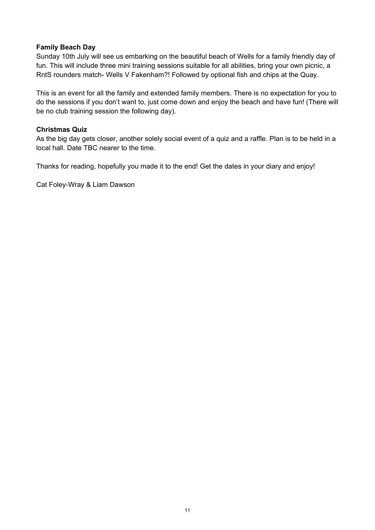#### **Family Beach Day**

Sunday 10th July will see us embarking on the beautiful beach of Wells for a family friendly day of fun. This will include three mini training sessions suitable for all abilities, bring your own picnic, a RntS rounders match- Wells V Fakenham?! Followed by optional fish and chips at the Quay.

This is an event for all the family and extended family members. There is no expectation for you to do the sessions if you don't want to, just come down and enjoy the beach and have fun! (There will be no club training session the following day).

#### **Christmas Quiz**

As the big day gets closer, another solely social event of a quiz and a raffle. Plan is to be held in a local hall. Date TBC nearer to the time.

Thanks for reading, hopefully you made it to the end! Get the dates in your diary and enjoy!

Cat Foley-Wray & Liam Dawson